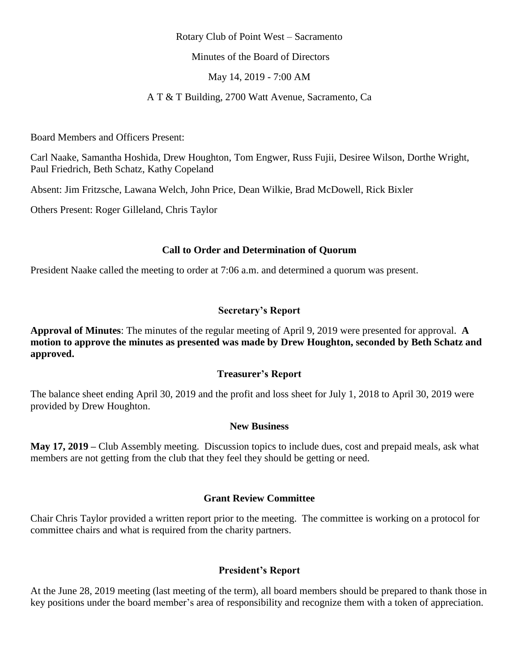#### Rotary Club of Point West – Sacramento

Minutes of the Board of Directors

May 14, 2019 - 7:00 AM

A T & T Building, 2700 Watt Avenue, Sacramento, Ca

Board Members and Officers Present:

Carl Naake, Samantha Hoshida, Drew Houghton, Tom Engwer, Russ Fujii, Desiree Wilson, Dorthe Wright, Paul Friedrich, Beth Schatz, Kathy Copeland

Absent: Jim Fritzsche, Lawana Welch, John Price, Dean Wilkie, Brad McDowell, Rick Bixler

Others Present: Roger Gilleland, Chris Taylor

### **Call to Order and Determination of Quorum**

President Naake called the meeting to order at 7:06 a.m. and determined a quorum was present.

### **Secretary's Report**

**Approval of Minutes**: The minutes of the regular meeting of April 9, 2019 were presented for approval. **A motion to approve the minutes as presented was made by Drew Houghton, seconded by Beth Schatz and approved.**

### **Treasurer's Report**

The balance sheet ending April 30, 2019 and the profit and loss sheet for July 1, 2018 to April 30, 2019 were provided by Drew Houghton.

#### **New Business**

**May 17, 2019 –** Club Assembly meeting. Discussion topics to include dues, cost and prepaid meals, ask what members are not getting from the club that they feel they should be getting or need.

### **Grant Review Committee**

Chair Chris Taylor provided a written report prior to the meeting. The committee is working on a protocol for committee chairs and what is required from the charity partners.

### **President's Report**

At the June 28, 2019 meeting (last meeting of the term), all board members should be prepared to thank those in key positions under the board member's area of responsibility and recognize them with a token of appreciation.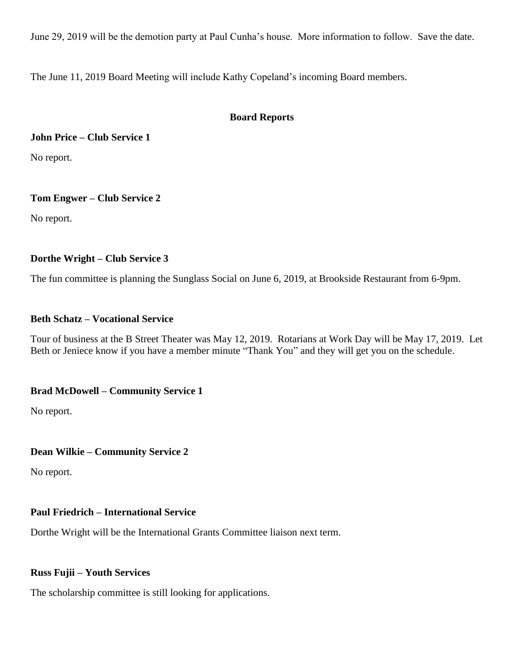June 29, 2019 will be the demotion party at Paul Cunha's house. More information to follow. Save the date.

The June 11, 2019 Board Meeting will include Kathy Copeland's incoming Board members.

## **Board Reports**

**John Price – Club Service 1**

No report.

## **Tom Engwer – Club Service 2**

No report.

## **Dorthe Wright – Club Service 3**

The fun committee is planning the Sunglass Social on June 6, 2019, at Brookside Restaurant from 6-9pm.

## **Beth Schatz – Vocational Service**

Tour of business at the B Street Theater was May 12, 2019. Rotarians at Work Day will be May 17, 2019. Let Beth or Jeniece know if you have a member minute "Thank You" and they will get you on the schedule.

# **Brad McDowell – Community Service 1**

No report.

### **Dean Wilkie – Community Service 2**

No report.

# **Paul Friedrich – International Service**

Dorthe Wright will be the International Grants Committee liaison next term.

### **Russ Fujii – Youth Services**

The scholarship committee is still looking for applications.